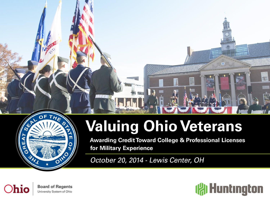

# **Valuing Ohio Veterans**

**Awarding Credit Toward College & Professional Licenses** for Military Experience

October 20, 2014 - Lewis Center, OH



**Board of Regents** University System of Ohio



漂亮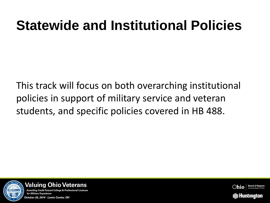This track will focus on both overarching institutional policies in support of military service and veteran students, and specific policies covered in HB 488.





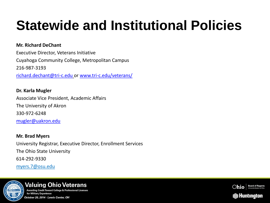#### **Mr. Richard DeChant**

Executive Director, Veterans Initiative Cuyahoga Community College, Metropolitan Campus 216-987-3193 [richard.dechant@tri-c.edu](mailto:richard.dechant@tri-c.edu) or [www.tri-c.edu/veterans/](http://www.tri-c.edu/veterans/)

**Dr. Karla Mugler** Associate Vice President, Academic Affairs The University of Akron 330-972-6248 [mugler@uakron.edu](mailto:mugler@uakron.edu)

**Mr. Brad Myers** University Registrar, Executive Director, Enrollment Services The Ohio State University 614-292-9330 myers.7@osu.edu



#### **Valuing Ohio Veterans Awarding Credit Toward College & Professional Licenses** for Military Experience October 20, 2014 - Lewis Center, OH

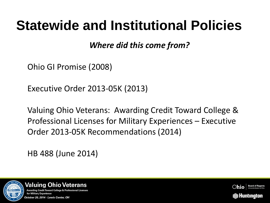*Where did this come from?*

Ohio GI Promise (2008)

Executive Order 2013-05K (2013)

Valuing Ohio Veterans: Awarding Credit Toward College & Professional Licenses for Military Experiences – Executive Order 2013-05K Recommendations (2014)

HB 488 (June 2014)





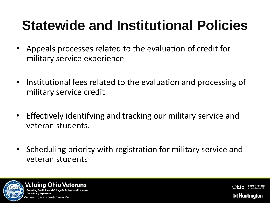- Appeals processes related to the evaluation of credit for military service experience
- Institutional fees related to the evaluation and processing of military service credit
- Effectively identifying and tracking our military service and veteran students.
- Scheduling priority with registration for military service and veteran students





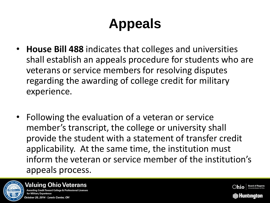- **House Bill 488** indicates that colleges and universities shall establish an appeals procedure for students who are veterans or service members for resolving disputes regarding the awarding of college credit for military experience.
- Following the evaluation of a veteran or service member's transcript, the college or university shall provide the student with a statement of transfer credit applicability. At the same time, the institution must inform the veteran or service member of the institution's appeals process.



#### **Valuing Ohio Veterans** Awarding Credit Toward College & Professional

for Military Experience October 20, 2014 - Lewis Center, OH

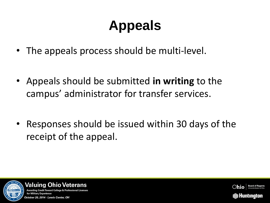- The appeals process should be multi-level.
- Appeals should be submitted **in writing** to the campus' administrator for transfer services.
- Responses should be issued within 30 days of the receipt of the appeal.





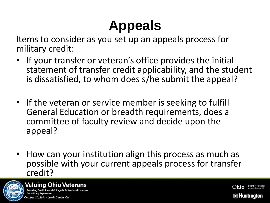Items to consider as you set up an appeals process for military credit:

- If your transfer or veteran's office provides the initial statement of transfer credit applicability, and the student is dissatisfied, to whom does s/he submit the appeal?
- If the veteran or service member is seeking to fulfill General Education or breadth requirements, does a committee of faculty review and decide upon the appeal?
- How can your institution align this process as much as possible with your current appeals process for transfer credit?





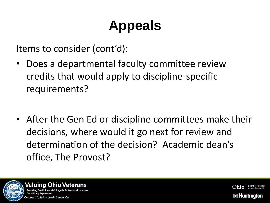Items to consider (cont'd):

- Does a departmental faculty committee review credits that would apply to discipline-specific requirements?
- After the Gen Ed or discipline committees make their decisions, where would it go next for review and determination of the decision? Academic dean's office, The Provost?





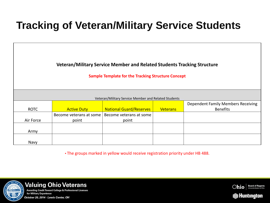**Veteran/Military Service Member and Related Students Tracking Structure**

**Sample Template for the Tracking Structure Concept**

| Veteran/Military Service Member and Related Students |                         |                                |                 |                                           |  |  |
|------------------------------------------------------|-------------------------|--------------------------------|-----------------|-------------------------------------------|--|--|
|                                                      |                         |                                |                 | <b>Dependent Family Members Receiving</b> |  |  |
| <b>ROTC</b>                                          | <b>Active Duty</b>      | <b>National Guard/Reserves</b> | <b>Veterans</b> | <b>Benefits</b>                           |  |  |
|                                                      | Become veterans at some | Become veterans at some        |                 |                                           |  |  |
| Air Force                                            | point                   | point                          |                 |                                           |  |  |
|                                                      |                         |                                |                 |                                           |  |  |
| Army                                                 |                         |                                |                 |                                           |  |  |
|                                                      |                         |                                |                 |                                           |  |  |
| Navy                                                 |                         |                                |                 |                                           |  |  |

▪ The groups marked in yellow would receive registration priority under HB 488.





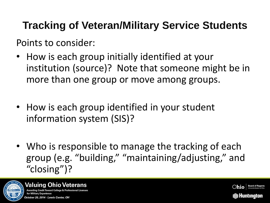Points to consider:

- How is each group initially identified at your institution (source)? Note that someone might be in more than one group or move among groups.
- How is each group identified in your student information system (SIS)?
- Who is responsible to manage the tracking of each group (e.g. "building," "maintaining/adjusting," and "closing")?





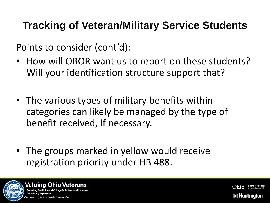Points to consider (cont'd):

- How will OBOR want us to report on these students? Will your identification structure support that?
- The various types of military benefits within categories can likely be managed by the type of benefit received, if necessary.
- The groups marked in yellow would receive registration priority under HB 488.





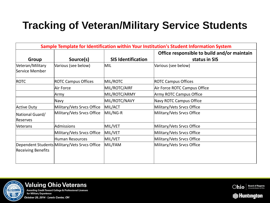| Sample Template for Identification within Your Institution's Student Information System |                                               |                           |                                                              |  |  |
|-----------------------------------------------------------------------------------------|-----------------------------------------------|---------------------------|--------------------------------------------------------------|--|--|
| Group                                                                                   | Source(s)                                     | <b>SIS Identification</b> | Office responsible to build and/or maintain<br>status in SIS |  |  |
| Veteran/Military<br>Service Member                                                      | Various (see below)                           | MIL                       | Various (see below)                                          |  |  |
| <b>ROTC</b>                                                                             | <b>ROTC Campus Offices</b>                    | MIL/ROTC                  | <b>ROTC Campus Offices</b>                                   |  |  |
|                                                                                         | Air Force                                     | MIL/ROTC/AIRF             | Air Force ROTC Campus Office                                 |  |  |
|                                                                                         | Army                                          | MIL/ROTC/ARMY             | Army ROTC Campus Office                                      |  |  |
|                                                                                         | Navy                                          | MIL/ROTC/NAVY             | Navy ROTC Campus Office                                      |  |  |
| <b>Active Duty</b>                                                                      | Military/Vets Srvcs Office                    | MIL/ACT                   | Military/Vets Srvcs Office                                   |  |  |
| National Guard/<br>Reserves                                                             | Military/Vets Srvcs Office                    | MIL/NG-R                  | Military/Vets Srvcs Office                                   |  |  |
| Veterans                                                                                | Admissions                                    | MIL/VET                   | Military/Vets Srvcs Office                                   |  |  |
|                                                                                         | Military/Vets Srvcs Office                    | MIL/VET                   | Military/Vets Srvcs Office                                   |  |  |
|                                                                                         | Human Resources                               | MIL/VET                   | Military/Vets Srvcs Office                                   |  |  |
| <b>Receiving Benefits</b>                                                               | Dependent Students Military/Vets Srvcs Office | MIL/FAM                   | Military/Vets Srvcs Office                                   |  |  |





for Military Experience October 20, 2014 - Lewis Center, OH

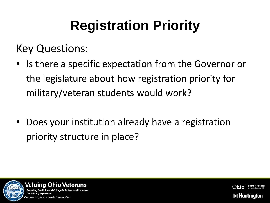Key Questions:

- Is there a specific expectation from the Governor or the legislature about how registration priority for military/veteran students would work?
- Does your institution already have a registration priority structure in place?





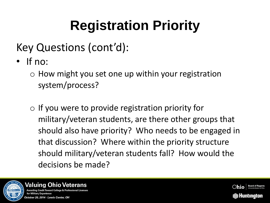- Key Questions (cont'd):
- If no:
	- $\circ$  How might you set one up within your registration system/process?
	- $\circ$  If you were to provide registration priority for military/veteran students, are there other groups that should also have priority? Who needs to be engaged in that discussion? Where within the priority structure should military/veteran students fall? How would the decisions be made?





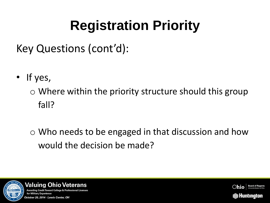Key Questions (cont'd):

• If yes,

 $\circ$  Where within the priority structure should this group fall?

o Who needs to be engaged in that discussion and how would the decision be made?